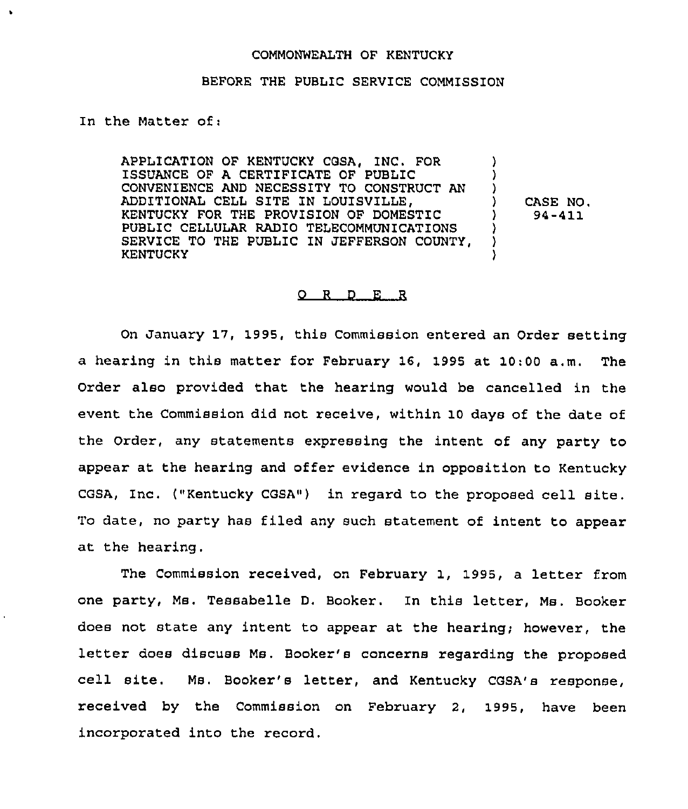## COMMONWEALTH OF KENTUCKY

## BEFORE THE PUBLIC SERVICE COMMISSION

In the Matter of:

APPLICATION OF KENTUCKY COSA, INC. FOR 1SSUANCE OF A CERTIFICATE OF PUBLIC CONVENIENCE AND NECESSITY TO CONSTRUCT AN ADDITIONAL CELL SITE IN LOUISVILLE, KENTUCKY FOR THE PROVISION OF DOMESTIC PUBLIC CELLULAR RADIO TELECOMMUNICATIONS SERVICE TO THE PUBLIC IN JEFFERSON COUNTY, KENTUCKY ) ) ) ) CASE NO. ) 94-Rll ) ) )

## 0 <sup>R</sup> <sup>D</sup> E <sup>R</sup>

On January 17, 1995, this Commission entered an Order setting a hearing in this matter for February 16, 1995 at 10:00 a.m. The Order also provided that the hearing would be cancelled in the event the Commission did not receive, within 10 days of the date of the Order, any statements expressing the intent of any party to appear at the hearing and offer evidence in opposition to Kentucky CGSA, Inc. ("Kentucky CGSA") in regard to the proposed cell site. To date, no party has filed any such statement of intent to appear at the hearing.

The Commission received, on February 1, 1995, a letter from one party, Ms. Tessabelle D. Booker. In this letter, Ms. Booker does not state any intent to appear at the hearing; however, the letter does discuss Ms, Booker's concerns regarding the proposed cell site. Ms. Booker's letter, and Kentucky CGSA's response, received by the Commission on February 2, 1995, have been incorporated into the record.